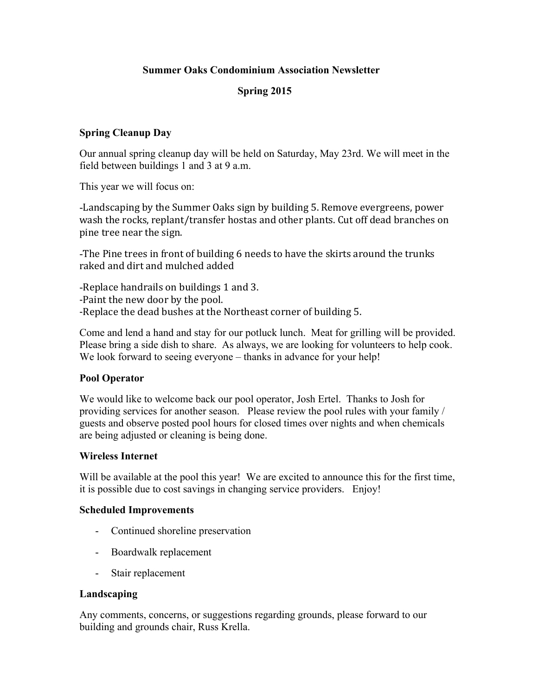# **Summer Oaks Condominium Association Newsletter**

# **Spring 2015**

## **Spring Cleanup Day**

Our annual spring cleanup day will be held on Saturday, May 23rd. We will meet in the field between buildings 1 and 3 at 9 a.m.

This year we will focus on:

-Landscaping by the Summer Oaks sign by building 5. Remove evergreens, power wash the rocks, replant/transfer hostas and other plants. Cut off dead branches on pine tree near the sign.

-The Pine trees in front of building 6 needs to have the skirts around the trunks raked and dirt and mulched added

-Replace handrails on buildings 1 and 3. -Paint the new door by the pool. -Replace the dead bushes at the Northeast corner of building 5.

Come and lend a hand and stay for our potluck lunch. Meat for grilling will be provided. Please bring a side dish to share. As always, we are looking for volunteers to help cook. We look forward to seeing everyone – thanks in advance for your help!

#### **Pool Operator**

We would like to welcome back our pool operator, Josh Ertel. Thanks to Josh for providing services for another season. Please review the pool rules with your family / guests and observe posted pool hours for closed times over nights and when chemicals are being adjusted or cleaning is being done.

#### **Wireless Internet**

Will be available at the pool this year! We are excited to announce this for the first time, it is possible due to cost savings in changing service providers. Enjoy!

#### **Scheduled Improvements**

- Continued shoreline preservation
- Boardwalk replacement
- Stair replacement

#### **Landscaping**

Any comments, concerns, or suggestions regarding grounds, please forward to our building and grounds chair, Russ Krella.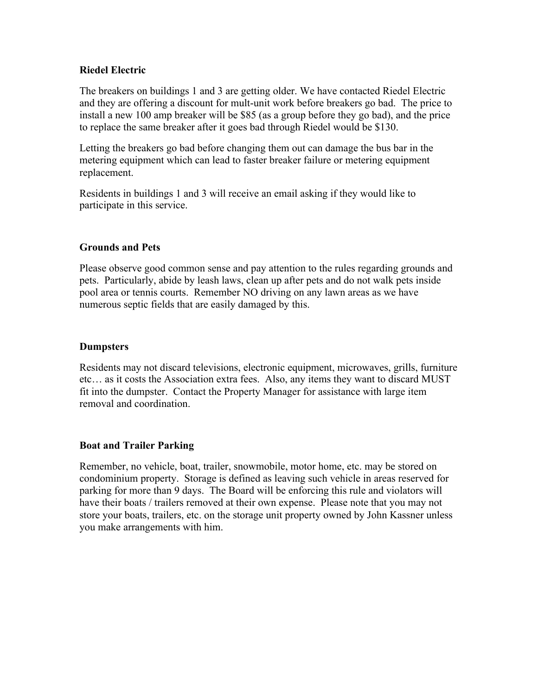## **Riedel Electric**

The breakers on buildings 1 and 3 are getting older. We have contacted Riedel Electric and they are offering a discount for mult-unit work before breakers go bad. The price to install a new 100 amp breaker will be \$85 (as a group before they go bad), and the price to replace the same breaker after it goes bad through Riedel would be \$130.

Letting the breakers go bad before changing them out can damage the bus bar in the metering equipment which can lead to faster breaker failure or metering equipment replacement.

Residents in buildings 1 and 3 will receive an email asking if they would like to participate in this service.

## **Grounds and Pets**

Please observe good common sense and pay attention to the rules regarding grounds and pets. Particularly, abide by leash laws, clean up after pets and do not walk pets inside pool area or tennis courts. Remember NO driving on any lawn areas as we have numerous septic fields that are easily damaged by this.

### **Dumpsters**

Residents may not discard televisions, electronic equipment, microwaves, grills, furniture etc… as it costs the Association extra fees. Also, any items they want to discard MUST fit into the dumpster. Contact the Property Manager for assistance with large item removal and coordination.

#### **Boat and Trailer Parking**

Remember, no vehicle, boat, trailer, snowmobile, motor home, etc. may be stored on condominium property. Storage is defined as leaving such vehicle in areas reserved for parking for more than 9 days. The Board will be enforcing this rule and violators will have their boats / trailers removed at their own expense. Please note that you may not store your boats, trailers, etc. on the storage unit property owned by John Kassner unless you make arrangements with him.